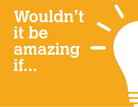# Wouldn't it be amazing if.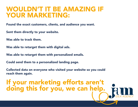#### WOULDN'T IT BE AMAZING IF YOUR MARKETING:

Found the exact customers, clients, and audience you want.

Sent them directly to your website.

Was able to track them.

Was able to retarget them with digital ads.

Was able to retarget them with personalized emails.

Could send them to a personalized landing page.

Collected data on everyone who visited your website so you could reach them again.

## If your marketing efforts aren't doing this for you, we can help.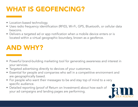#### WHAT IS GEOFENCING?

- Location-based technology.
- Uses radio frequency identification (RFID), Wi-Fi, GPS, Bluetooth, or cellular data beacons.
- Delivers a targeted ad or app notification when a mobile device enters or is located within a virtual geographic boundary, known as a geofence.

- Powerful brand-building marketing tool for generating awareness and interest in your services.
- Targeted advertising directly to devices of your customers.
- Essential for people and companies who sell in a competitive environment and are geographically based.
- For people who want their messages to be and stay top of mind to a very specific audience.
- Detailed reporting (proof of Return on Investment) about how each of your ad campaigns and landing pages are performing.

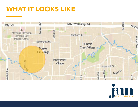#### WHAT IT LOOKS LIKE



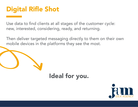#### Digital Rifle Shot

Use data to find clients at all stages of the customer cycle: new, interested, considering, ready, and returning.

Then deliver targeted messaging directly to them on their own mobile devices in the platforms they see the most.

#### Ideal for you.

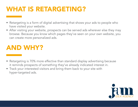#### WHAT IS RETARGETING?

- Retargeting is a form of digital advertising that shows your ads to people who have visited your website.
- After visiting your website, prospects can be served ads wherever else they may browse. Because you know which pages they've seen on your own website, you can create more personalized ads.

- Retargeting is 70% more effective than standard display advertising because it reminds prospects of something they've already indicated interest in.
- Track your interested visitors and bring them back to your site with hyper-targeted ads.

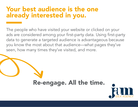#### Your best audience is the one already interested in you.

The people who have visited your website or clicked on your ads are considered among your first-party data. Using first-party data to generate a targeted audience is advantageous because you know the most about that audience—what pages they've seen, how many times they've visited, and more.

#### Re-engage. All the time.

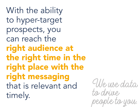With the ability to hyper-target prospects, you can reach the right audience at the right time in the right place with the right messaging that is relevant and timely.

We use data to drive people to you.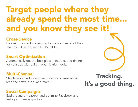## Target people where they already spend the most time... and you know they see it!

#### Cross-Device

Deliver consistent messaging to users across all of their screens – desktop, mobile, TV, tablet.

#### Smart Optimization

Automatically get the best placement, bid, and timing for your ads with built-in optimization tools.

#### Multi-Channel

Stay top-of-mind as your web visitors browse social, read the news, shop, and more.

#### Social Campaigns

Easily launch, measure, and optimize Facebook and Instagram campaigns too.

### Tracking. It's a good thing.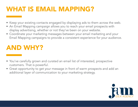#### WHAT IS EMAIL MAPPING?

- Keep your existing contacts engaged by displaying ads to them across the web.
- An Email Mapping campaign allows you to reach your email prospects with display advertising, whether or not they've been on your website.
- Coordinate your marketing messages between your email marketing and your Email Mapping campaigns to provide a consistent experience for your audience.

- You've carefully grown and curated an email list of interested, prospective customers. That is powerful.
- Great opportunity to get your message in front of warm prospects and add an additional layer of communication to your marketing strategy.

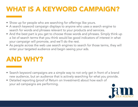### WHAT IS A KEYWORD CAMPAIGN?

- Show up for people who are searching for offerings like yours.
- A search keyword campaign displays to anyone who uses a search engine to search for words and phrases relevant to your products and services.
- And the best part is you get to choose those words and phrases. Simply think up a list of search terms that you think would be good indicators of interest in what your campaign will promote, and we'll do the rest.
- As people across the web use search engines to search for those terms, they will enter your targeted audience and begin seeing your ads.

- Search keyword campaigns are a simple way to not only get in front of a brand new audience, but an audience that is actively searching for what you provide.
- Detailed reporting (proof of Return on Investment) about how each of your ad campaigns are performing.

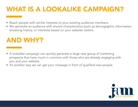### WHAT IS A LOOKALIKE CAMPAIGN?

- Reach people with similar interests to your existing audience members.
- We generate an audience with shared characteristics (such as demographic information, browsing history, or interests) based on your website visitors.

- A lookalike campaign can quickly generate a large new group of marketing prospects that have much in common with those who are already engaging with you and your website.
- It's another way we can get your message in front of qualified new people.

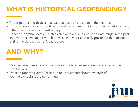#### WHAT IS HISTORICAL GEOFENCING?

- Target people and devices that were at a specific location in the near past.
- Historical geofencing is identical to geofencing, except it targets past location activity rather than future (or current) activity.
- Choose a physical location such as an event venue, as well as a date range in the past, and we can serve ads to mobile devices that were physically present at that location during the date range you've targeted.

- It's an excellent way to continually advertise to an event audience even after the event is over.
- Detailed reporting (proof of Return on Investment) about how each of your ad campaigns are performing.

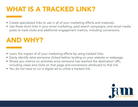#### WHAT IS A TRACKED LINK?

- Create specialized links to use in all of your marketing efforts and materials.
- Use these short links in your email marketing, paid search campaigns, and social media posts to track clicks and additional engagement metrics, including conversions.

- Learn the impact of all your marketing efforts by using tracked links.
- Easily identify what someone clicked before landing on your website or webpage.
- Shows you metrics on activities once someone has reached the destination URL, including views and clicks on that page and conversions attributed to that link.
- You do not have to run a digital ad to utilize a tracked link.

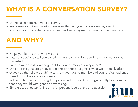### WHAT IS A CONVERSATION SURVEY?

- Launch a customized website survey.
- Response-optimized website messages that ask your visitors one key question.
- Allowing you to create hyper-focused audience segments based on their answers.

- Helps you learn about your visitors.
- Lets your audience tell you exactly what they care about and how they want to be marketed to
- Each answer has its own segment for you to track your responses!
- Data and insights are great, but acting on those insights is what we are really after.
- Gives you the follow-up ability to show your ads to members of your digital audience based upon their survey answers.
- Relevant, helpful advertising that people will respond to at significantly higher rates than they would with generic advertising.
- Simple usage, powerful insights for personalized advertising at scale.

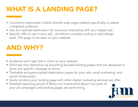#### WHAT IS A LANDING PAGE?

- Conversion-optimized, mobile-friendly web page created specifically to adress a targeted audience.
- Use as a tailored destination for someone interacting with your digital ads.
- Specific URL to use in your ads all without complex coding or web design work. The page is not seen on your website.

- Audience won't get lost in clicks on your website.
- Eliminate that distraction by launching focused landing pages that are designed to drive one specific message or action.
- Trackable and personalized destination pages for your ads, email marketing, and social media posts.
- Easily combine your landing page with other digital marketing services we offer.
- Detailed reporting (proof of Return on Investment) about how each of your ad campaigns and landing pages are performing.

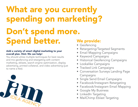## What are you currently spending on marketing? Don't spend more. Spend better. We provide:

#### Add a variety of smart digital marketing to your overall plan. Hint: We can help!

You should utilize multiple techniques for best results and mix geofencing and retargeting with content marketing, eblasts, search engine optimization, display advertising, printed collateral, and video advertising (just to name a few).



- Geofencing
- Retargeting/Targeted Segments
- Email Mapping Campaigns
- Keyword Campaigns
- Historical Geofencing Campaigns
- Lookalike Campaigns
- Tracked Link Campaigns
- Conversation Surveys Landing Page Campaigns
- Single Send Email Campaigns
- Facebook/Instagram Retargeting
- Facebook/Instagram Email Mapping
- Google My Business
- LinkedIn Targeting
- MailChimp Eblast Targeting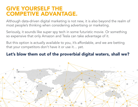#### GIVE YOURSELF THE COMPETIVE ADVANTAGE.

Although data-driven digital marketing is not new, it is also beyond the realm of most people's thinking when considering advertising or marketing.

Seriously, it sounds like super spy tech in some futuristic movie. Or something so expensive that only Amazon and Tesla can take advantage of it.

But this option is actually available to you, it's affordable, and we are betting that your competitors don't have it or use it… yet.

#### Let's blow them out of the proverbial digital waters, shall we?